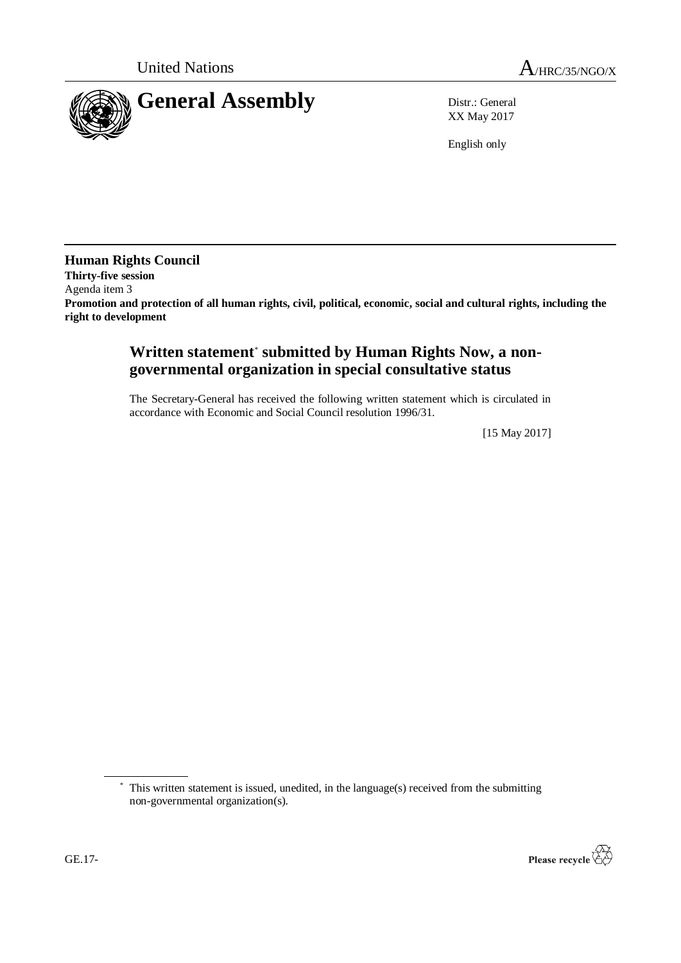

XX May 2017

English only

**Human Rights Council Thirty-five session** Agenda item 3 **Promotion and protection of all human rights, civil, political, economic, social and cultural rights, including the right to development**

## **Written statement**\* **submitted by Human Rights Now, a nongovernmental organization in special consultative status**

The Secretary-General has received the following written statement which is circulated in accordance with Economic and Social Council resolution 1996/31.

[15 May 2017]

<sup>\*</sup> This written statement is issued, unedited, in the language(s) received from the submitting non-governmental organization(s).

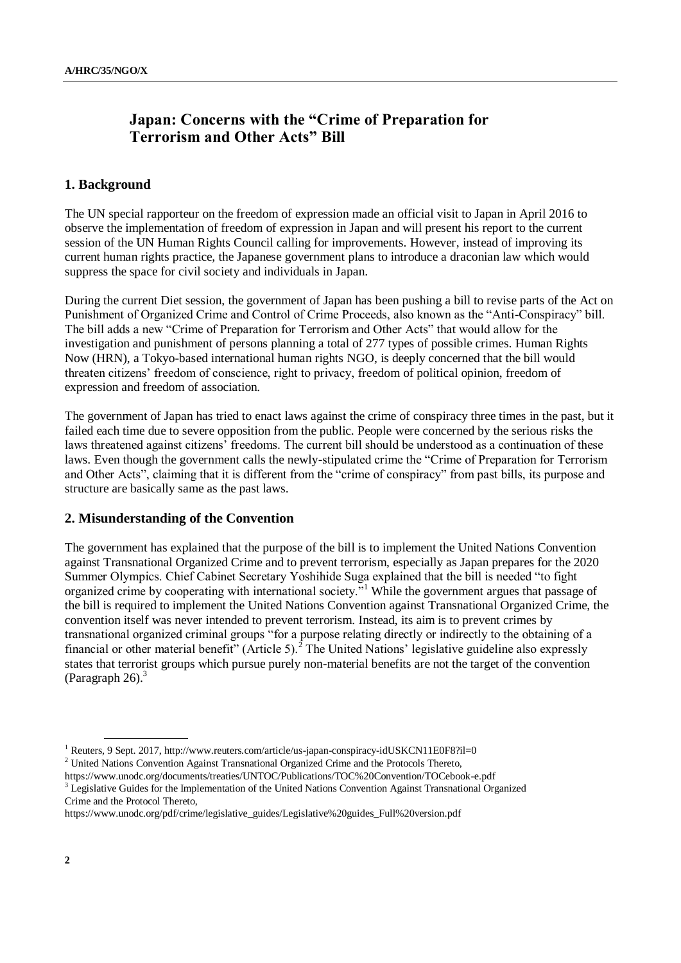# **Japan: Concerns with the "Crime of Preparation for Terrorism and Other Acts" Bill**

## **1. Background**

The UN special rapporteur on the freedom of expression made an official visit to Japan in April 2016 to observe the implementation of freedom of expression in Japan and will present his report to the current session of the UN Human Rights Council calling for improvements. However, instead of improving its current human rights practice, the Japanese government plans to introduce a draconian law which would suppress the space for civil society and individuals in Japan.

During the current Diet session, the government of Japan has been pushing a bill to revise parts of the Act on Punishment of Organized Crime and Control of Crime Proceeds, also known as the "Anti-Conspiracy" bill. The bill adds a new "Crime of Preparation for Terrorism and Other Acts" that would allow for the investigation and punishment of persons planning a total of 277 types of possible crimes. Human Rights Now (HRN), a Tokyo-based international human rights NGO, is deeply concerned that the bill would threaten citizens' freedom of conscience, right to privacy, freedom of political opinion, freedom of expression and freedom of association.

The government of Japan has tried to enact laws against the crime of conspiracy three times in the past, but it failed each time due to severe opposition from the public. People were concerned by the serious risks the laws threatened against citizens' freedoms. The current bill should be understood as a continuation of these laws. Even though the government calls the newly-stipulated crime the "Crime of Preparation for Terrorism and Other Acts", claiming that it is different from the "crime of conspiracy" from past bills, its purpose and structure are basically same as the past laws.

#### **2. Misunderstanding of the Convention**

The government has explained that the purpose of the bill is to implement the United Nations Convention against Transnational Organized Crime and to prevent terrorism, especially as Japan prepares for the 2020 Summer Olympics. Chief Cabinet Secretary Yoshihide Suga explained that the bill is needed "to fight organized crime by cooperating with international society."<sup>1</sup> While the government argues that passage of the bill is required to implement the United Nations Convention against Transnational Organized Crime, the convention itself was never intended to prevent terrorism. Instead, its aim is to prevent crimes by transnational organized criminal groups "for a purpose relating directly or indirectly to the obtaining of a financial or other material benefit" (Article 5).<sup>2</sup> The United Nations' legislative guideline also expressly states that terrorist groups which pursue purely non-material benefits are not the target of the convention (Paragraph  $26$ ).<sup>3</sup>

<sup>&</sup>lt;sup>1</sup> Reuters, 9 Sept. 2017, http://www.reuters.com/article/us-japan-conspiracy-idUSKCN11E0F8?il=0 <sup>2</sup> United Nations Convention Against Transnational Organized Crime and the Protocols Thereto,

https://www.unodc.org/documents/treaties/UNTOC/Publications/TOC%20Convention/TOCebook-e.pdf

<sup>&</sup>lt;sup>3</sup> Legislative Guides for the Implementation of the United Nations Convention Against Transnational Organized Crime and the Protocol Thereto,

https://www.unodc.org/pdf/crime/legislative\_guides/Legislative%20guides\_Full%20version.pdf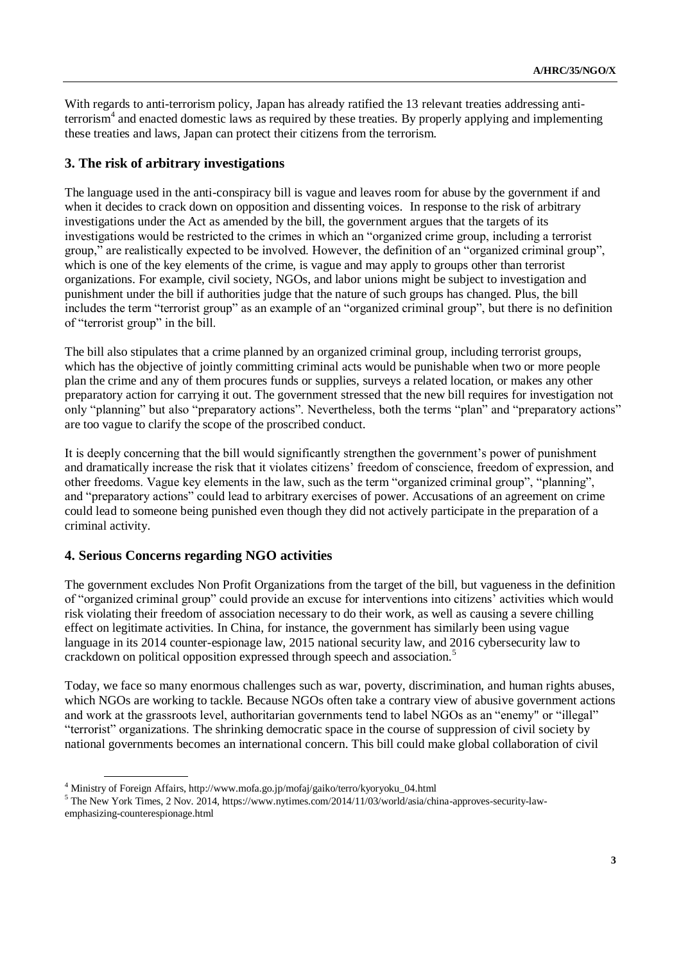With regards to anti-terrorism policy, Japan has already ratified the 13 relevant treaties addressing antiterrorism<sup>4</sup> and enacted domestic laws as required by these treaties. By properly applying and implementing these treaties and laws, Japan can protect their citizens from the terrorism.

## **3. The risk of arbitrary investigations**

The language used in the anti-conspiracy bill is vague and leaves room for abuse by the government if and when it decides to crack down on opposition and dissenting voices. In response to the risk of arbitrary investigations under the Act as amended by the bill, the government argues that the targets of its investigations would be restricted to the crimes in which an "organized crime group, including a terrorist group," are realistically expected to be involved. However, the definition of an "organized criminal group", which is one of the key elements of the crime, is vague and may apply to groups other than terrorist organizations. For example, civil society, NGOs, and labor unions might be subject to investigation and punishment under the bill if authorities judge that the nature of such groups has changed. Plus, the bill includes the term "terrorist group" as an example of an "organized criminal group", but there is no definition of "terrorist group" in the bill.

The bill also stipulates that a crime planned by an organized criminal group, including terrorist groups, which has the objective of jointly committing criminal acts would be punishable when two or more people plan the crime and any of them procures funds or supplies, surveys a related location, or makes any other preparatory action for carrying it out. The government stressed that the new bill requires for investigation not only "planning" but also "preparatory actions". Nevertheless, both the terms "plan" and "preparatory actions" are too vague to clarify the scope of the proscribed conduct.

It is deeply concerning that the bill would significantly strengthen the government's power of punishment and dramatically increase the risk that it violates citizens' freedom of conscience, freedom of expression, and other freedoms. Vague key elements in the law, such as the term "organized criminal group", "planning", and "preparatory actions" could lead to arbitrary exercises of power. Accusations of an agreement on crime could lead to someone being punished even though they did not actively participate in the preparation of a criminal activity.

## **4. Serious Concerns regarding NGO activities**

The government excludes Non Profit Organizations from the target of the bill, but vagueness in the definition of "organized criminal group" could provide an excuse for interventions into citizens' activities which would risk violating their freedom of association necessary to do their work, as well as causing a severe chilling effect on legitimate activities. In China, for instance, the government has similarly been using vague language in its 2014 counter-espionage law, 2015 national security law, and 2016 cybersecurity law to crackdown on political opposition expressed through speech and association.<sup>5</sup>

Today, we face so many enormous challenges such as war, poverty, discrimination, and human rights abuses, which NGOs are working to tackle. Because NGOs often take a contrary view of abusive government actions and work at the grassroots level, authoritarian governments tend to label NGOs as an "enemy" or "illegal" "terrorist" organizations. The shrinking democratic space in the course of suppression of civil society by national governments becomes an international concern. This bill could make global collaboration of civil

<sup>4</sup> Ministry of Foreign Affairs, http://www.mofa.go.jp/mofaj/gaiko/terro/kyoryoku\_04.html

<sup>5</sup> The New York Times, 2 Nov. 2014[, https://www.nytimes.com/2014/11/03/world/asia/china-approves-security-law](https://www.nytimes.com/2014/11/03/world/asia/china-approves-security-law-)emphasizing-counterespionage.html